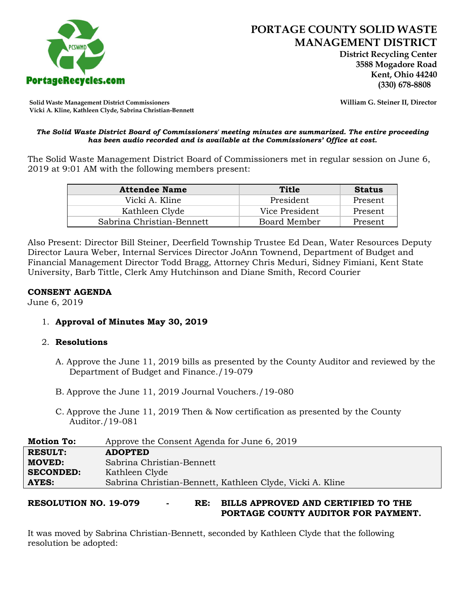

 **District Recycling Center 3588 Mogadore Road Kent, Ohio 44240**

**Solid Waste Management District Commissioners William G. Steiner II, Director Vicki A. Kline, Kathleen Clyde, Sabrina Christian-Bennett** 

#### *The Solid Waste District Board of Commissioners' meeting minutes are summarized. The entire proceeding has been audio recorded and is available at the Commissioners' Office at cost.*

The Solid Waste Management District Board of Commissioners met in regular session on June 6, 2019 at 9:01 AM with the following members present:

| <b>Attendee Name</b>      | Title          | <b>Status</b> |
|---------------------------|----------------|---------------|
| Vicki A. Kline            | President      | Present       |
| Kathleen Clyde            | Vice President | Present       |
| Sabrina Christian-Bennett | Board Member   | Present       |

Also Present: Director Bill Steiner, Deerfield Township Trustee Ed Dean, Water Resources Deputy Director Laura Weber, Internal Services Director JoAnn Townend, Department of Budget and Financial Management Director Todd Bragg, Attorney Chris Meduri, Sidney Fimiani, Kent State University, Barb Tittle, Clerk Amy Hutchinson and Diane Smith, Record Courier

### **CONSENT AGENDA**

June 6, 2019

1. **Approval of Minutes May 30, 2019**

#### 2. **Resolutions**

- A. Approve the June 11, 2019 bills as presented by the County Auditor and reviewed by the Department of Budget and Finance./19-079
- B. Approve the June 11, 2019 Journal Vouchers./19-080
- C. Approve the June 11, 2019 Then & Now certification as presented by the County Auditor./19-081

| <b>Motion To:</b> | Approve the Consent Agenda for June 6, 2019               |
|-------------------|-----------------------------------------------------------|
| <b>RESULT:</b>    | <b>ADOPTED</b>                                            |
| <b>MOVED:</b>     | Sabrina Christian-Bennett                                 |
| <b>SECONDED:</b>  | Kathleen Clyde                                            |
| AYES:             | Sabrina Christian-Bennett, Kathleen Clyde, Vicki A. Kline |

# **RESOLUTION NO. 19-079 - RE: BILLS APPROVED AND CERTIFIED TO THE PORTAGE COUNTY AUDITOR FOR PAYMENT.**

It was moved by Sabrina Christian-Bennett, seconded by Kathleen Clyde that the following resolution be adopted: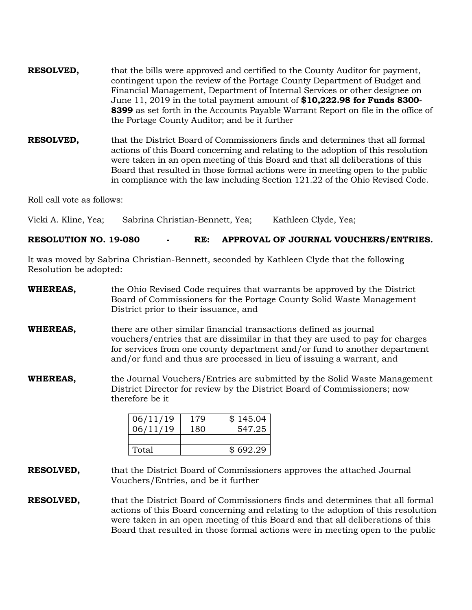**RESOLVED,** that the bills were approved and certified to the County Auditor for payment, contingent upon the review of the Portage County Department of Budget and Financial Management, Department of Internal Services or other designee on June 11, 2019 in the total payment amount of **\$10,222.98 for Funds 8300- 8399** as set forth in the Accounts Payable Warrant Report on file in the office of the Portage County Auditor; and be it further

**RESOLVED,** that the District Board of Commissioners finds and determines that all formal actions of this Board concerning and relating to the adoption of this resolution were taken in an open meeting of this Board and that all deliberations of this Board that resulted in those formal actions were in meeting open to the public in compliance with the law including Section 121.22 of the Ohio Revised Code.

Roll call vote as follows:

Vicki A. Kline, Yea; Sabrina Christian-Bennett, Yea; Kathleen Clyde, Yea;

# **RESOLUTION NO. 19-080 - RE: APPROVAL OF JOURNAL VOUCHERS/ENTRIES.**

It was moved by Sabrina Christian-Bennett, seconded by Kathleen Clyde that the following Resolution be adopted:

- **WHEREAS,** the Ohio Revised Code requires that warrants be approved by the District Board of Commissioners for the Portage County Solid Waste Management District prior to their issuance, and
- **WHEREAS,** there are other similar financial transactions defined as journal vouchers/entries that are dissimilar in that they are used to pay for charges for services from one county department and/or fund to another department and/or fund and thus are processed in lieu of issuing a warrant, and
- **WHEREAS,** the Journal Vouchers/Entries are submitted by the Solid Waste Management District Director for review by the District Board of Commissioners; now therefore be it

| 06/11/19 | 179 | \$145.04 |
|----------|-----|----------|
| 06/11/19 | 180 | 547.25   |
|          |     |          |
| Total    |     | \$692.29 |

- **RESOLVED,** that the District Board of Commissioners approves the attached Journal Vouchers/Entries, and be it further
- **RESOLVED,** that the District Board of Commissioners finds and determines that all formal actions of this Board concerning and relating to the adoption of this resolution were taken in an open meeting of this Board and that all deliberations of this Board that resulted in those formal actions were in meeting open to the public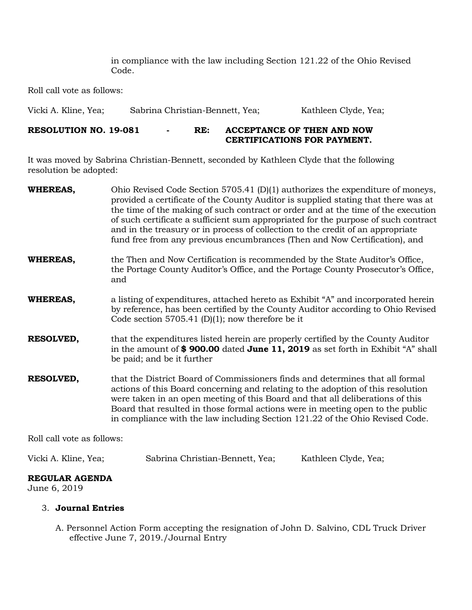in compliance with the law including Section 121.22 of the Ohio Revised Code.

Roll call vote as follows:

Vicki A. Kline, Yea; Sabrina Christian-Bennett, Yea; Kathleen Clyde, Yea;

### **RESOLUTION NO. 19-081 - RE: ACCEPTANCE OF THEN AND NOW CERTIFICATIONS FOR PAYMENT.**

It was moved by Sabrina Christian-Bennett, seconded by Kathleen Clyde that the following resolution be adopted:

| the Then and Now Certification is recommended by the State Auditor's Office,<br>the Portage County Auditor's Office, and the Portage County Prosecutor's Office,                                                                                                                                                                                                                                                       |
|------------------------------------------------------------------------------------------------------------------------------------------------------------------------------------------------------------------------------------------------------------------------------------------------------------------------------------------------------------------------------------------------------------------------|
|                                                                                                                                                                                                                                                                                                                                                                                                                        |
| a listing of expenditures, attached hereto as Exhibit "A" and incorporated herein<br>by reference, has been certified by the County Auditor according to Ohio Revised<br>Code section 5705.41 (D)(1); now therefore be it                                                                                                                                                                                              |
| that the expenditures listed herein are properly certified by the County Auditor<br>in the amount of \$900.00 dated June 11, 2019 as set forth in Exhibit "A" shall                                                                                                                                                                                                                                                    |
| that the District Board of Commissioners finds and determines that all formal<br>actions of this Board concerning and relating to the adoption of this resolution<br>were taken in an open meeting of this Board and that all deliberations of this<br>Board that resulted in those formal actions were in meeting open to the public<br>in compliance with the law including Section 121.22 of the Ohio Revised Code. |
|                                                                                                                                                                                                                                                                                                                                                                                                                        |

Roll call vote as follows:

| Vicki A. Kline, Yea; | Sabrina Christian-Bennett, Yea; | Kathleen Clyde, Yea; |
|----------------------|---------------------------------|----------------------|
|----------------------|---------------------------------|----------------------|

#### **REGULAR AGENDA**

June 6, 2019

# 3. **Journal Entries**

A. Personnel Action Form accepting the resignation of John D. Salvino, CDL Truck Driver effective June 7, 2019./Journal Entry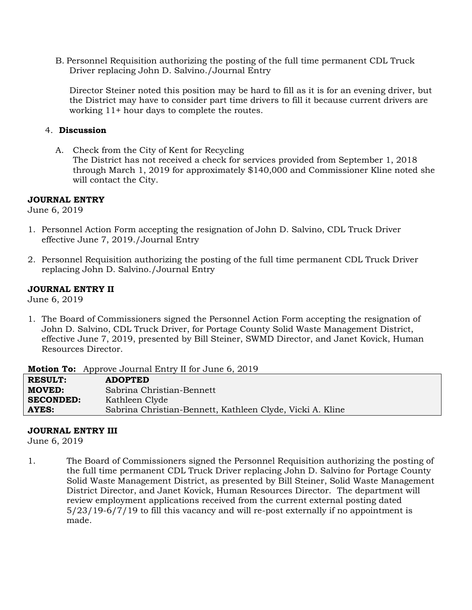B. Personnel Requisition authorizing the posting of the full time permanent CDL Truck Driver replacing John D. Salvino./Journal Entry

Director Steiner noted this position may be hard to fill as it is for an evening driver, but the District may have to consider part time drivers to fill it because current drivers are working 11+ hour days to complete the routes.

### 4. **Discussion**

A. Check from the City of Kent for Recycling The District has not received a check for services provided from September 1, 2018 through March 1, 2019 for approximately \$140,000 and Commissioner Kline noted she will contact the City.

#### **JOURNAL ENTRY**

June 6, 2019

- 1. Personnel Action Form accepting the resignation of John D. Salvino, CDL Truck Driver effective June 7, 2019./Journal Entry
- 2. Personnel Requisition authorizing the posting of the full time permanent CDL Truck Driver replacing John D. Salvino./Journal Entry

# **JOURNAL ENTRY II**

June 6, 2019

1. The Board of Commissioners signed the Personnel Action Form accepting the resignation of John D. Salvino, CDL Truck Driver, for Portage County Solid Waste Management District, effective June 7, 2019, presented by Bill Steiner, SWMD Director, and Janet Kovick, Human Resources Director.

**Motion To:** Approve Journal Entry II for June 6, 2019

| <b>RESULT:</b>   | <b>ADOPTED</b>                                            |
|------------------|-----------------------------------------------------------|
| <b>MOVED:</b>    | Sabrina Christian-Bennett                                 |
| <b>SECONDED:</b> | Kathleen Clyde                                            |
| AYES:            | Sabrina Christian-Bennett, Kathleen Clyde, Vicki A. Kline |

#### **JOURNAL ENTRY III**

June 6, 2019

1. The Board of Commissioners signed the Personnel Requisition authorizing the posting of the full time permanent CDL Truck Driver replacing John D. Salvino for Portage County Solid Waste Management District, as presented by Bill Steiner, Solid Waste Management District Director, and Janet Kovick, Human Resources Director. The department will review employment applications received from the current external posting dated 5/23/19-6/7/19 to fill this vacancy and will re-post externally if no appointment is made.